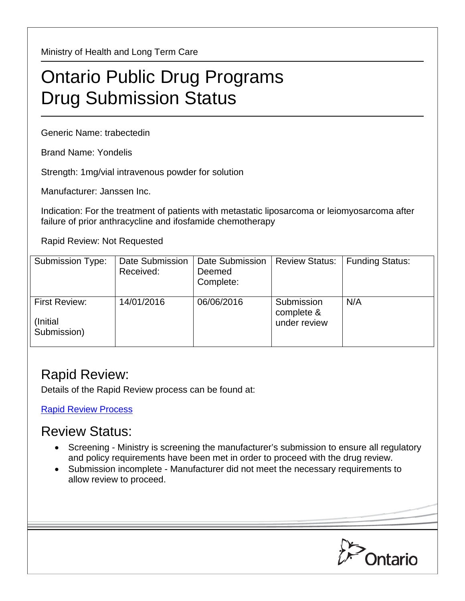Ministry of Health and Long Term Care

## Ontario Public Drug Programs Drug Submission Status

Generic Name: trabectedin

Brand Name: Yondelis

Strength: 1mg/vial intravenous powder for solution

Manufacturer: Janssen Inc.

Indication: For the treatment of patients with metastatic liposarcoma or leiomyosarcoma after failure of prior anthracycline and ifosfamide chemotherapy

Rapid Review: Not Requested

| Submission Type:                                | Date Submission<br>Received: | Date Submission<br>Deemed<br>Complete: | <b>Review Status:</b>                    | <b>Funding Status:</b> |
|-------------------------------------------------|------------------------------|----------------------------------------|------------------------------------------|------------------------|
| <b>First Review:</b><br>(Initial<br>Submission) | 14/01/2016                   | 06/06/2016                             | Submission<br>complete &<br>under review | N/A                    |

## Rapid Review:

Details of the Rapid Review process can be found at:

[Rapid Review Process](http://www.health.gov.on.ca/en/pro/programs/drugs/drug_submissions/rapid_review_process.aspx)

## Review Status:

- Screening Ministry is screening the manufacturer's submission to ensure all regulatory and policy requirements have been met in order to proceed with the drug review.
- Submission incomplete Manufacturer did not meet the necessary requirements to allow review to proceed.